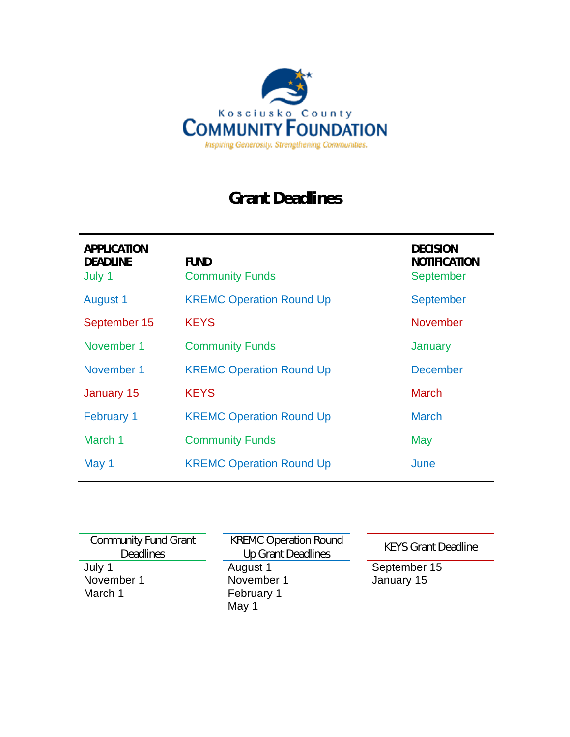

# **Grant Deadlines**

| <b>APPLICATION</b><br><b>DEADLINE</b> | <b>FUND</b>                     | <b>DECISION</b><br><b>NOTIFICATION</b> |
|---------------------------------------|---------------------------------|----------------------------------------|
| July 1                                | <b>Community Funds</b>          | <b>September</b>                       |
| <b>August 1</b>                       | <b>KREMC Operation Round Up</b> | <b>September</b>                       |
| September 15                          | <b>KEYS</b>                     | <b>November</b>                        |
| November 1                            | <b>Community Funds</b>          | January                                |
| November 1                            | <b>KREMC Operation Round Up</b> | <b>December</b>                        |
| January 15                            | <b>KEYS</b>                     | <b>March</b>                           |
| <b>February 1</b>                     | <b>KREMC Operation Round Up</b> | <b>March</b>                           |
| March 1                               | <b>Community Funds</b>          | May                                    |
| May 1                                 | <b>KREMC Operation Round Up</b> | June                                   |

| <b>Community Fund Grant</b><br><b>Deadlines</b> | <b>KREMC Operation Round</b><br><b>Up Grant Deadlines</b> | <b>KEYS Grant Deadline</b> |
|-------------------------------------------------|-----------------------------------------------------------|----------------------------|
| July 1<br>November 1<br>March 1                 | August 1<br>November 1<br>February 1<br>May 1             | September 15<br>January 15 |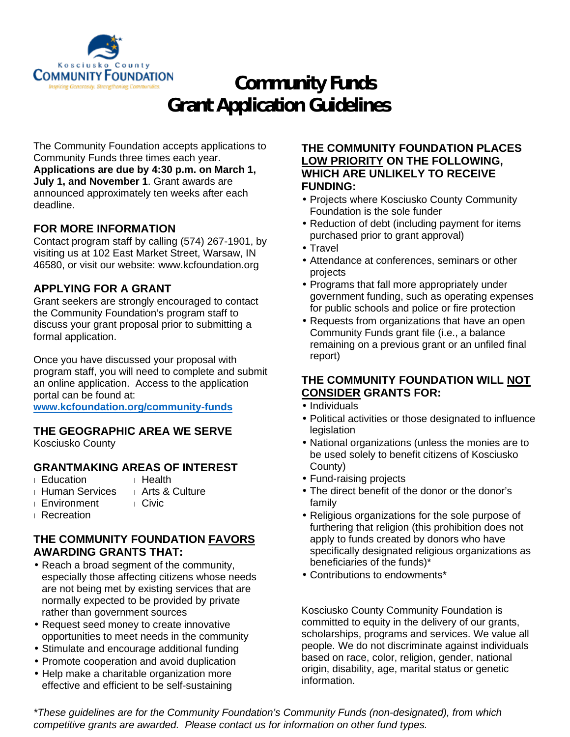

# **Community Funds Grant Application Guidelines**

The Community Foundation accepts applications to Community Funds three times each year. **Applications are due by 4:30 p.m. on March 1, July 1, and November 1**. Grant awards are announced approximately ten weeks after each deadline.

# **FOR MORE INFORMATION**

Contact program staff by calling (574) 267-1901, by visiting us at 102 East Market Street, Warsaw, IN 46580, or visit our website: www.kcfoundation.org

### **APPLYING FOR A GRANT**

Grant seekers are strongly encouraged to contact the Community Foundation's program staff to discuss your grant proposal prior to submitting a formal application.

Once you have discussed your proposal with program staff, you will need to complete and submit an online application. Access to the application portal can be found at:

**www.kcfoundation.org/community-funds**

### **THE GEOGRAPHIC AREA WE SERVE**

Kosciusko County

# **GRANTMAKING AREAS OF INTEREST**

- 
- 
- **i** Education **i** Health<br>**i** Human Services **i** Arts & Culture **I** Human Services
- **I** Environment **I** Civic
- **Recreation**

# **THE COMMUNITY FOUNDATION FAVORS AWARDING GRANTS THAT:**

- Reach a broad segment of the community, especially those affecting citizens whose needs are not being met by existing services that are normally expected to be provided by private rather than government sources
- Request seed money to create innovative opportunities to meet needs in the community
- Stimulate and encourage additional funding
- Promote cooperation and avoid duplication
- Help make a charitable organization more effective and efficient to be self-sustaining

### **THE COMMUNITY FOUNDATION PLACES LOW PRIORITY ON THE FOLLOWING, WHICH ARE UNLIKELY TO RECEIVE FUNDING:**

- Projects where Kosciusko County Community Foundation is the sole funder
- Reduction of debt (including payment for items purchased prior to grant approval)
- · Travel
- Attendance at conferences, seminars or other projects
- Programs that fall more appropriately under government funding, such as operating expenses for public schools and police or fire protection
- Requests from organizations that have an open Community Funds grant file (i.e., a balance remaining on a previous grant or an unfiled final report)

# **THE COMMUNITY FOUNDATION WILL NOT CONSIDER GRANTS FOR:**

- Individuals
- Political activities or those designated to influence legislation
- National organizations (unless the monies are to be used solely to benefit citizens of Kosciusko County)
- Fund-raising projects
- The direct benefit of the donor or the donor's family
- Religious organizations for the sole purpose of furthering that religion (this prohibition does not apply to funds created by donors who have specifically designated religious organizations as beneficiaries of the funds)\*
- Contributions to endowments\*

Kosciusko County Community Foundation is committed to equity in the delivery of our grants, scholarships, programs and services. We value all people. We do not discriminate against individuals based on race, color, religion, gender, national origin, disability, age, marital status or genetic information.

*\*These guidelines are for the Community Foundation's Community Funds (non-designated), from which competitive grants are awarded. Please contact us for information on other fund types.*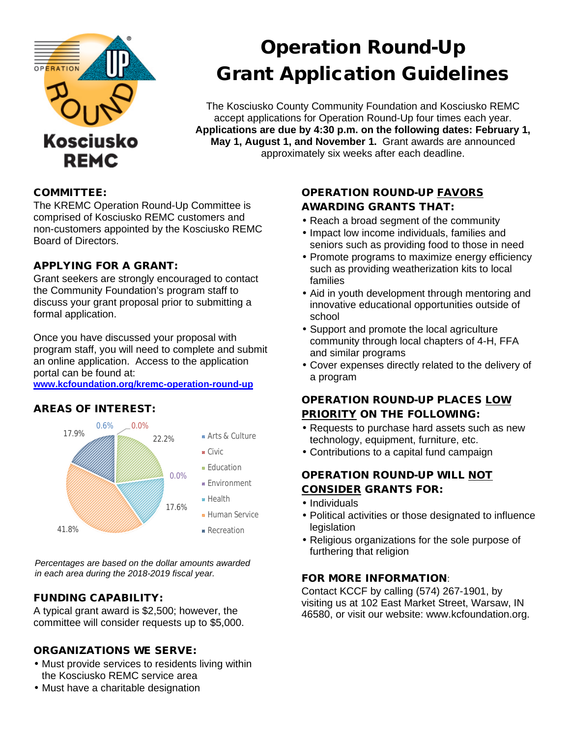

# Operation Round-Up Grant Application Guidelines

The Kosciusko County Community Foundation and Kosciusko REMC accept applications for Operation Round-Up four times each year. **Applications are due by 4:30 p.m. on the following dates: February 1, May 1, August 1, and November 1.** Grant awards are announced approximately six weeks after each deadline.

### COMMITTEE:

The KREMC Operation Round-Up Committee is comprised of Kosciusko REMC customers and non-customers appointed by the Kosciusko REMC Board of Directors.

### APPLYING FOR A GRANT:

Grant seekers are strongly encouraged to contact the Community Foundation's program staff to discuss your grant proposal prior to submitting a formal application.

Once you have discussed your proposal with program staff, you will need to complete and submit an online application. Access to the application portal can be found at:

**www.kcfoundation.org/kremc-operation-round-up**

### AREAS OF INTEREST:



*Percentages are based on the dollar amounts awarded in each area during the 2018-2019 fiscal year.*

### FUNDING CAPABILITY:

A typical grant award is \$2,500; however, the committee will consider requests up to \$5,000.

### ORGANIZATIONS WE SERVE:

- Must provide services to residents living within the Kosciusko REMC service area
- Must have a charitable designation

# OPERATION ROUND-UP FAVORS AWARDING GRANTS THAT:

- Reach a broad segment of the community
- Impact low income individuals, families and seniors such as providing food to those in need
- Promote programs to maximize energy efficiency such as providing weatherization kits to local families
- Aid in youth development through mentoring and innovative educational opportunities outside of school
- Support and promote the local agriculture community through local chapters of 4-H, FFA and similar programs
- Cover expenses directly related to the delivery of a program

# OPERATION ROUND-UP PLACES LOW PRIORITY ON THE FOLLOWING:

- Requests to purchase hard assets such as new technology, equipment, furniture, etc.
- Contributions to a capital fund campaign

# OPERATION ROUND-UP WILL NOT CONSIDER GRANTS FOR:

- · Individuals
- Political activities or those designated to influence legislation
- Religious organizations for the sole purpose of furthering that religion

# FOR MORE INFORMATION:

Contact KCCF by calling (574) 267-1901, by visiting us at 102 East Market Street, Warsaw, IN 46580, or visit our website: www.kcfoundation.org.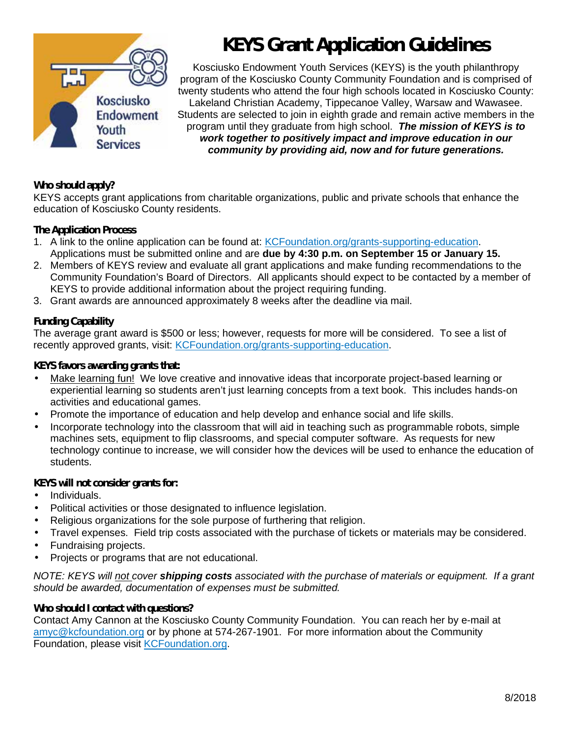

# **KEYS Grant Application Guidelines**

Kosciusko Endowment Youth Services (KEYS) is the youth philanthropy program of the Kosciusko County Community Foundation and is comprised of twenty students who attend the four high schools located in Kosciusko County: Lakeland Christian Academy, Tippecanoe Valley, Warsaw and Wawasee. Students are selected to join in eighth grade and remain active members in the program until they graduate from high school. *The mission of KEYS is to work together to positively impact and improve education in our community by providing aid, now and for future generations.*

### **Who should apply?**

KEYS accepts grant applications from charitable organizations, public and private schools that enhance the education of Kosciusko County residents.

### **The Application Process**

- 1. A link to the online application can be found at: KCFoundation.org/grants-supporting-education. Applications must be submitted online and are **due by 4:30 p.m. on September 15 or January 15.**
- 2. Members of KEYS review and evaluate all grant applications and make funding recommendations to the Community Foundation's Board of Directors. All applicants should expect to be contacted by a member of KEYS to provide additional information about the project requiring funding.
- 3. Grant awards are announced approximately 8 weeks after the deadline via mail.

### **Funding Capability**

The average grant award is \$500 or less; however, requests for more will be considered. To see a list of recently approved grants, visit: KCFoundation.org/grants-supporting-education.

#### **KEYS favors awarding grants that:**

- Make learning fun! We love creative and innovative ideas that incorporate project-based learning or experiential learning so students aren't just learning concepts from a text book. This includes hands-on activities and educational games.
- Promote the importance of education and help develop and enhance social and life skills.
- Incorporate technology into the classroom that will aid in teaching such as programmable robots, simple machines sets, equipment to flip classrooms, and special computer software. As requests for new technology continue to increase, we will consider how the devices will be used to enhance the education of students.

### **KEYS will not consider grants for:**

- Individuals.
- Political activities or those designated to influence legislation.
- Religious organizations for the sole purpose of furthering that religion.
- Travel expenses. Field trip costs associated with the purchase of tickets or materials may be considered.
- Fundraising projects.
- Projects or programs that are not educational.

*NOTE: KEYS will not cover shipping costs associated with the purchase of materials or equipment. If a grant should be awarded, documentation of expenses must be submitted.*

# **Who should I contact with questions?**

Contact Amy Cannon at the Kosciusko County Community Foundation. You can reach her by e-mail at amyc@kcfoundation.org or by phone at 574-267-1901. For more information about the Community Foundation, please visit KCFoundation.org.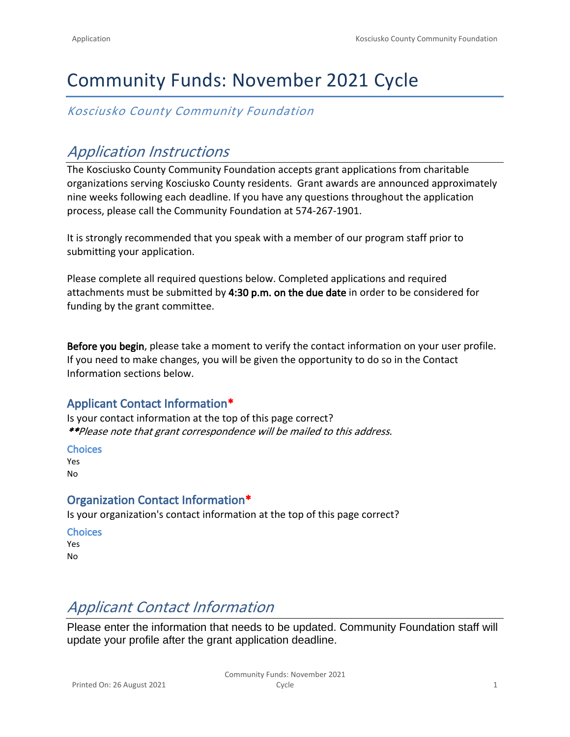# Community Funds: November 2021 Cycle

*Kosciusko County Community Foundation*

# *Application Instructions*

The Kosciusko County Community Foundation accepts grant applications from charitable organizations serving Kosciusko County residents. Grant awards are announced approximately nine weeks following each deadline. If you have any questions throughout the application process, please call the Community Foundation at 574-267-1901.

It is strongly recommended that you speak with a member of our program staff prior to submitting your application.

Please complete all required questions below. Completed applications and required attachments must be submitted by **4:30 p.m. on the due date** in order to be considered for funding by the grant committee.

**Before you begin**, please take a moment to verify the contact information on your user profile. If you need to make changes, you will be given the opportunity to do so in the Contact Information sections below.

# **Applicant Contact Information\***

Is your contact information at the top of this page correct? *\*\*Please note that grant correspondence will be mailed to this address.*

#### **Choices**

Yes No

# **Organization Contact Information\***

Is your organization's contact information at the top of this page correct?

#### **Choices** Yes

No

# *Applicant Contact Information*

Please enter the information that needs to be updated. Community Foundation staff will update your profile after the grant application deadline.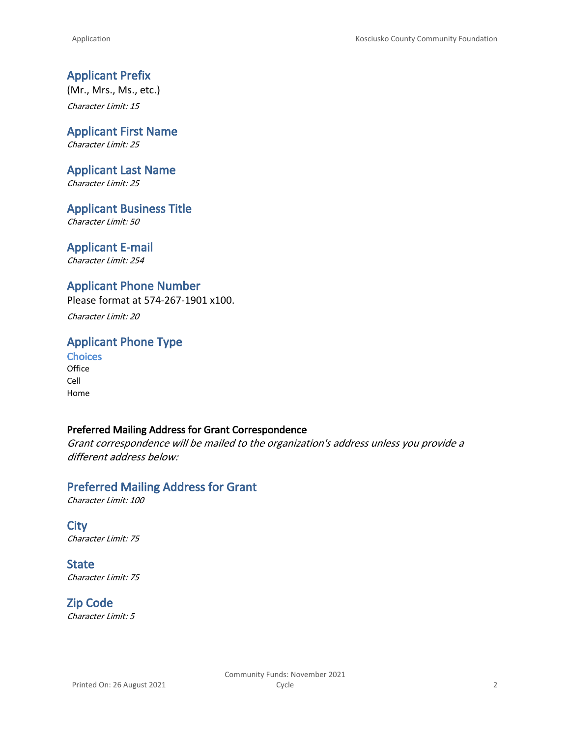# **Applicant Prefix**

(Mr., Mrs., Ms., etc.) *Character Limit: 15*

#### **Applicant First Name** *Character Limit: 25*

**Applicant Last Name**

*Character Limit: 25*

**Applicant Business Title** *Character Limit: 50*

# **Applicant E-mail**

*Character Limit: 254*

### **Applicant Phone Number**

Please format at 574-267-1901 x100.

*Character Limit: 20*

# **Applicant Phone Type**

**Choices Office** Cell Home

#### **Preferred Mailing Address for Grant Correspondence**

*Grant correspondence will be mailed to the organization's address unless you provide a different address below:*

# **Preferred Mailing Address for Grant**

*Character Limit: 100*

**City** *Character Limit: 75*

**State** *Character Limit: 75*

**Zip Code** *Character Limit: 5*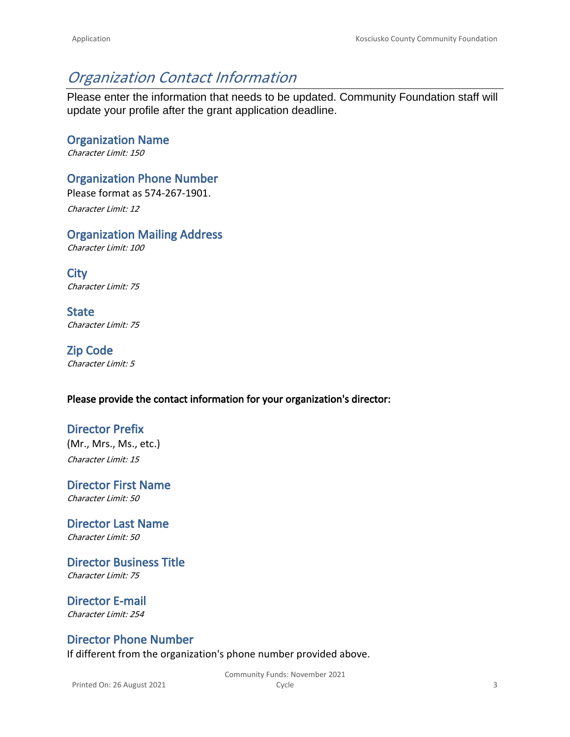# *Organization Contact Information*

Please enter the information that needs to be updated. Community Foundation staff will update your profile after the grant application deadline.

**Organization Name** *Character Limit: 150*

**Organization Phone Number**

Please format as 574-267-1901.

*Character Limit: 12*

**Organization Mailing Address**

*Character Limit: 100*

**City** *Character Limit: 75*

**State** *Character Limit: 75*

**Zip Code** *Character Limit: 5*

### **Please provide the contact information for your organization's director:**

# **Director Prefix**

(Mr., Mrs., Ms., etc.) *Character Limit: 15*

**Director First Name** *Character Limit: 50*

**Director Last Name** *Character Limit: 50*

**Director Business Title** *Character Limit: 75*

**Director E-mail** *Character Limit: 254*

### **Director Phone Number**

If different from the organization's phone number provided above.

Printed On: 26 August 2021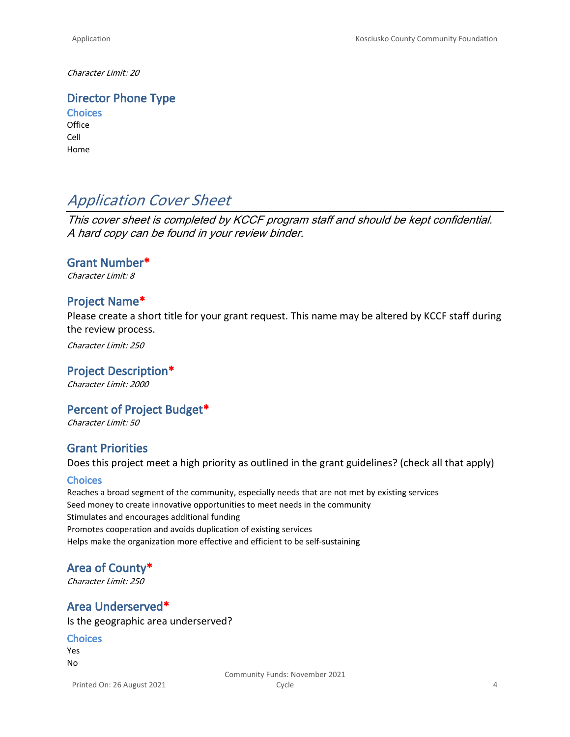*Character Limit: 20*

**Director Phone Type**

**Choices Office** Cell Home

# *Application Cover Sheet*

*This cover sheet is completed by KCCF program staff and should be kept confidential. A hard copy can be found in your review binder.*

#### **Grant Number\***

*Character Limit: 8*

#### **Project Name\***

Please create a short title for your grant request. This name may be altered by KCCF staff during the review process.

*Character Limit: 250*

# **Project Description\***

*Character Limit: 2000*

#### **Percent of Project Budget\***

*Character Limit: 50*

#### **Grant Priorities**

Does this project meet a high priority as outlined in the grant guidelines? (check all that apply)

#### **Choices**

Reaches a broad segment of the community, especially needs that are not met by existing services Seed money to create innovative opportunities to meet needs in the community Stimulates and encourages additional funding Promotes cooperation and avoids duplication of existing services Helps make the organization more effective and efficient to be self-sustaining

#### **Area of County\***

*Character Limit: 250*

### **Area Underserved\***

Is the geographic area underserved?

#### **Choices**

Yes No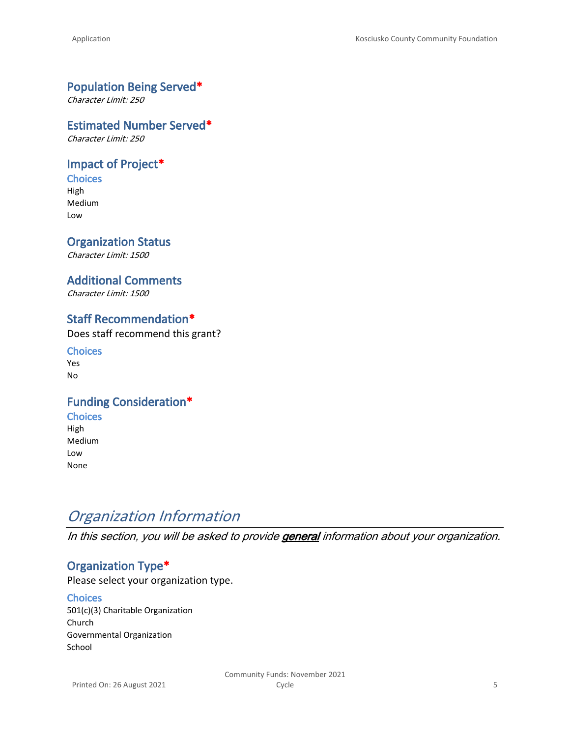### **Population Being Served\***

*Character Limit: 250*

#### **Estimated Number Served\***

*Character Limit: 250*

### **Impact of Project\***

**Choices** High Medium Low

### **Organization Status**

*Character Limit: 1500*

#### **Additional Comments**

*Character Limit: 1500*

### **Staff Recommendation\***

Does staff recommend this grant?

**Choices** Yes No

### **Funding Consideration\***

- **Choices** High
- Medium Low None

# *Organization Information*

*In this section, you will be asked to provide general information about your organization.*

# **Organization Type\***

Please select your organization type.

#### **Choices**

501(c)(3) Charitable Organization Church Governmental Organization School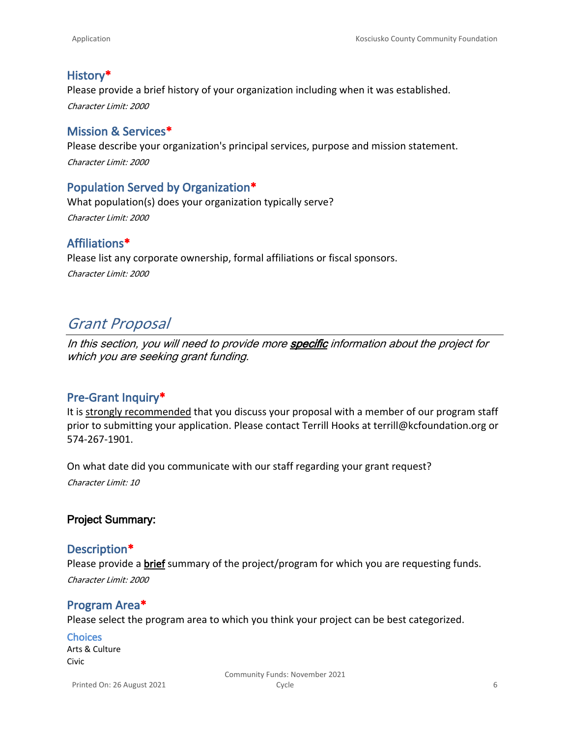# **History\***

Please provide a brief history of your organization including when it was established. *Character Limit: 2000*

### **Mission & Services\***

Please describe your organization's principal services, purpose and mission statement. *Character Limit: 2000*

# **Population Served by Organization\***

What population(s) does your organization typically serve? *Character Limit: 2000*

# **Affiliations\***

Please list any corporate ownership, formal affiliations or fiscal sponsors. *Character Limit: 2000*

# *Grant Proposal*

*In this section, you will need to provide more specific information about the project for which you are seeking grant funding.*

# **Pre-Grant Inquiry\***

It is strongly recommended that you discuss your proposal with a member of our program staff prior to submitting your application. Please contact Terrill Hooks at terrill@kcfoundation.org or 574-267-1901.

On what date did you communicate with our staff regarding your grant request? *Character Limit: 10*

# **Project Summary:**

### **Description\***

Please provide a **brief** summary of the project/program for which you are requesting funds. *Character Limit: 2000*

# **Program Area\***

Please select the program area to which you think your project can be best categorized.

### **Choices**

Arts & Culture Civic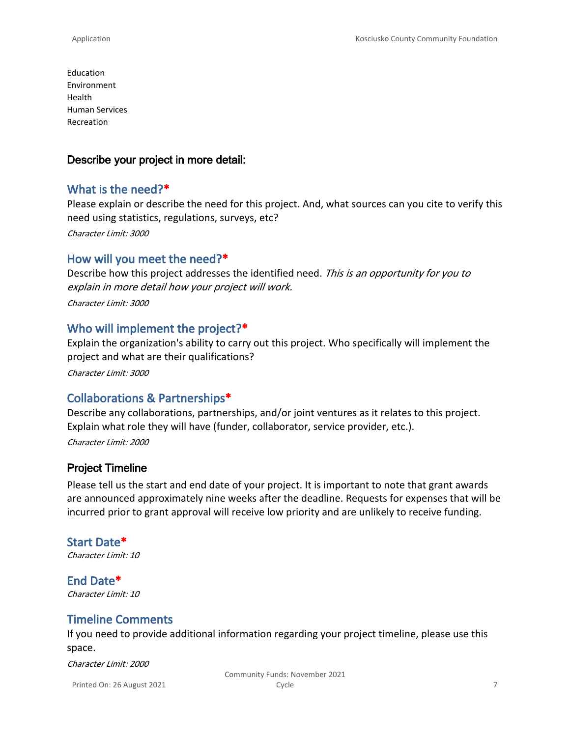Education Environment Health Human Services Recreation

### **Describe your project in more detail:**

# **What is the need?\***

Please explain or describe the need for this project. And, what sources can you cite to verify this need using statistics, regulations, surveys, etc? *Character Limit: 3000*

# **How will you meet the need?\***

Describe how this project addresses the identified need. *This is an opportunity for you to explain in more detail how your project will work. Character Limit: 3000*

# **Who will implement the project?\***

Explain the organization's ability to carry out this project. Who specifically will implement the project and what are their qualifications?

*Character Limit: 3000*

# **Collaborations & Partnerships\***

Describe any collaborations, partnerships, and/or joint ventures as it relates to this project. Explain what role they will have (funder, collaborator, service provider, etc.). *Character Limit: 2000*

# **Project Timeline**

Please tell us the start and end date of your project. It is important to note that grant awards are announced approximately nine weeks after the deadline. Requests for expenses that will be incurred prior to grant approval will receive low priority and are unlikely to receive funding.

# **Start Date\***

*Character Limit: 10*

**End Date\*** *Character Limit: 10*

# **Timeline Comments**

If you need to provide additional information regarding your project timeline, please use this space.

*Character Limit: 2000*

Printed On: 26 August 2021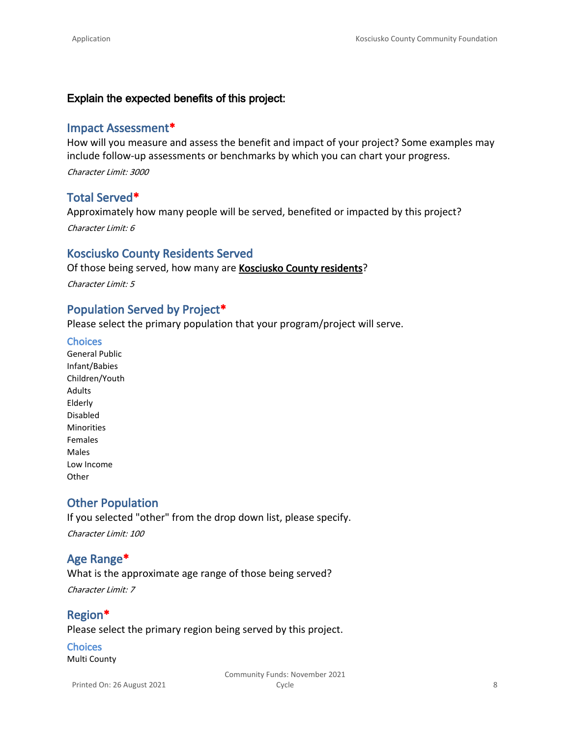#### **Explain the expected benefits of this project:**

#### **Impact Assessment\***

How will you measure and assess the benefit and impact of your project? Some examples may include follow-up assessments or benchmarks by which you can chart your progress. *Character Limit: 3000*

### **Total Served\***

Approximately how many people will be served, benefited or impacted by this project? *Character Limit: 6*

#### **Kosciusko County Residents Served**

Of those being served, how many are **Kosciusko County residents**?

*Character Limit: 5*

# **Population Served by Project\***

Please select the primary population that your program/project will serve.

#### **Choices**

General Public Infant/Babies Children/Youth Adults Elderly Disabled Minorities Females Males Low Income **Other** 

# **Other Population**

If you selected "other" from the drop down list, please specify. *Character Limit: 100*

# **Age Range\***

What is the approximate age range of those being served? *Character Limit: 7*

# **Region\*** Please select the primary region being served by this project.

# **Choices**

Multi County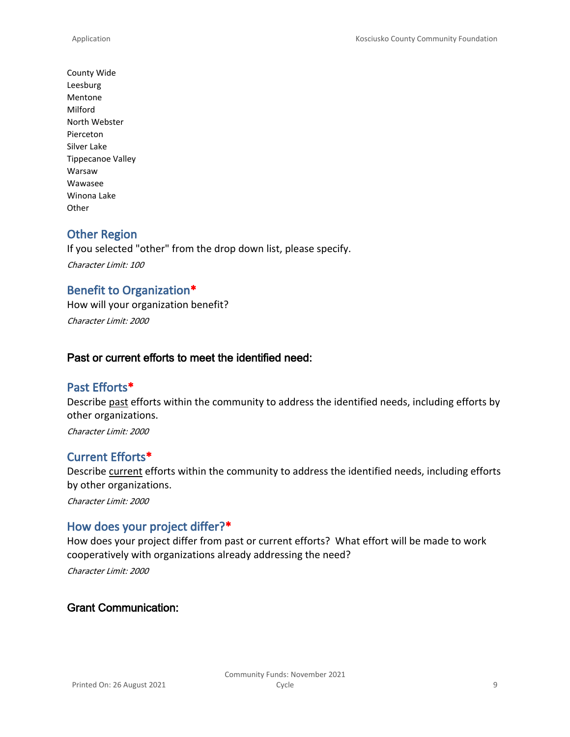County Wide Leesburg Mentone Milford North Webster Pierceton Silver Lake Tippecanoe Valley Warsaw Wawasee Winona Lake **Other** 

# **Other Region**

If you selected "other" from the drop down list, please specify. *Character Limit: 100*

### **Benefit to Organization\***

How will your organization benefit? *Character Limit: 2000*

### **Past or current efforts to meet the identified need:**

### **Past Efforts\***

Describe past efforts within the community to address the identified needs, including efforts by other organizations.

*Character Limit: 2000*

### **Current Efforts\***

Describe current efforts within the community to address the identified needs, including efforts by other organizations.

*Character Limit: 2000*

### **How does your project differ?\***

How does your project differ from past or current efforts? What effort will be made to work cooperatively with organizations already addressing the need? *Character Limit: 2000*

### **Grant Communication:**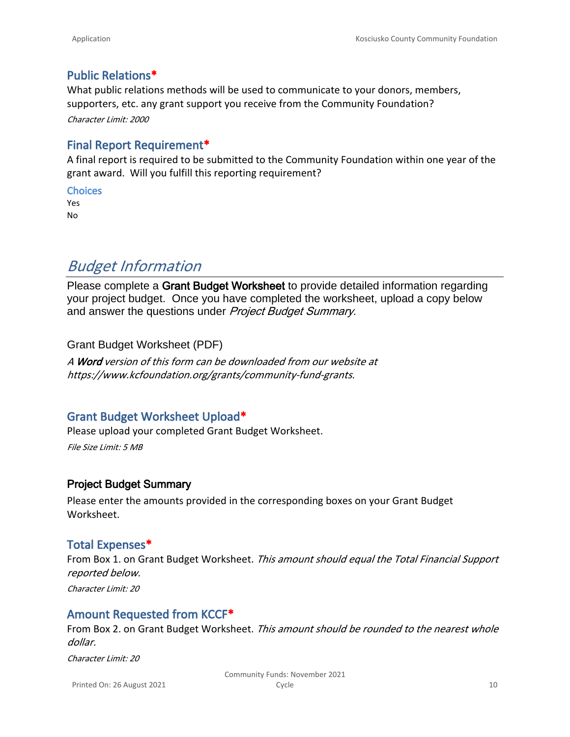### **Public Relations\***

What public relations methods will be used to communicate to your donors, members, supporters, etc. any grant support you receive from the Community Foundation? *Character Limit: 2000*

# **Final Report Requirement\***

A final report is required to be submitted to the Community Foundation within one year of the grant award. Will you fulfill this reporting requirement?

**Choices** Yes

No

# *Budget Information*

Please complete a **Grant Budget Worksheet** to provide detailed information regarding your project budget. Once you have completed the worksheet, upload a copy below and answer the questions under *Project Budget Summary*.

[Grant Budget Worksheet \(PDF\)](https://www.kcfoundation.org/wp-content/uploads/2020/07/Grant-Budget-Worksheet.pdf)

*A Word version of this form can be downloaded from our website at [https://www.kcfoundation.org/grants/community-fund-grants](https://www.kcfoundation.org/grants/community-fund-grants/).*

# **Grant Budget Worksheet Upload\***

Please upload your completed Grant Budget Worksheet. *File Size Limit: 5 MB*

### **Project Budget Summary**

Please enter the amounts provided in the corresponding boxes on your Grant Budget Worksheet.

### **Total Expenses\***

From Box 1. on Grant Budget Worksheet. *This amount should equal the Total Financial Support reported below. Character Limit: 20*

# **Amount Requested from KCCF\***

From Box 2. on Grant Budget Worksheet. *This amount should be rounded to the nearest whole dollar.*

*Character Limit: 20*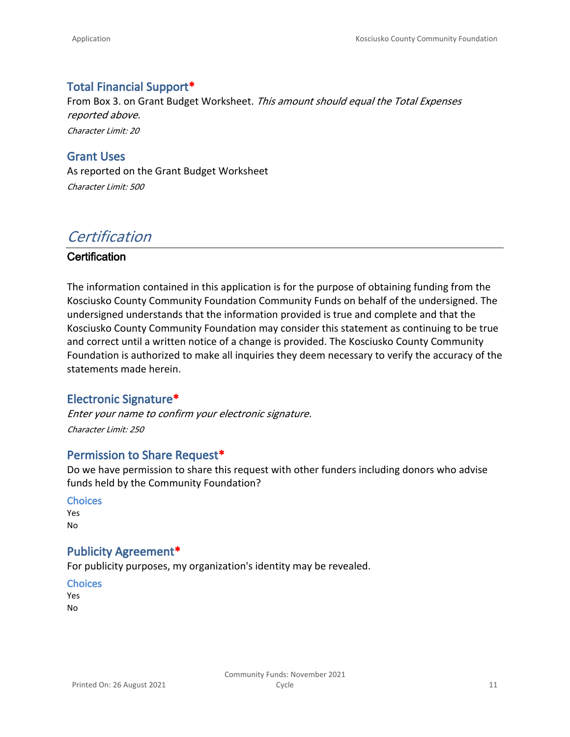# **Total Financial Support\***

From Box 3. on Grant Budget Worksheet. *This amount should equal the Total Expenses reported above. Character Limit: 20*

**Grant Uses** As reported on the Grant Budget Worksheet *Character Limit: 500*

# *Certification*

### **Certification**

The information contained in this application is for the purpose of obtaining funding from the Kosciusko County Community Foundation Community Funds on behalf of the undersigned. The undersigned understands that the information provided is true and complete and that the Kosciusko County Community Foundation may consider this statement as continuing to be true and correct until a written notice of a change is provided. The Kosciusko County Community Foundation is authorized to make all inquiries they deem necessary to verify the accuracy of the statements made herein.

# **Electronic Signature\***

*Enter your name to confirm your electronic signature. Character Limit: 250*

# **Permission to Share Request\***

Do we have permission to share this request with other funders including donors who advise funds held by the Community Foundation?

#### **Choices**

Yes No

### **Publicity Agreement\***

For publicity purposes, my organization's identity may be revealed.

**Choices**

Yes No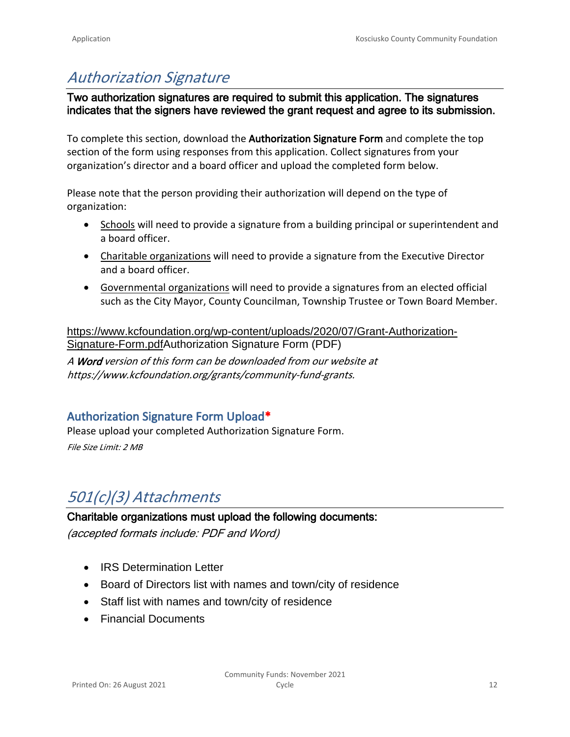# *Authorization Signature*

**Two authorization signatures are required to submit this application. The signatures indicates that the signers have reviewed the grant request and agree to its submission.** 

To complete this section, download the **Authorization Signature Form** and complete the top section of the form using responses from this application. Collect signatures from your organization's director and a board officer and upload the completed form below.

Please note that the person providing their authorization will depend on the type of organization:

- Schools will need to provide a signature from a building principal or superintendent and a board officer.
- Charitable organizations will need to provide a signature from the Executive Director and a board officer.
- Governmental organizations will need to provide a signatures from an elected official such as the City Mayor, County Councilman, Township Trustee or Town Board Member.

[https://www.kcfoundation.org/wp-content/uploads/2020/07/Grant-Authorization-](https://www.kcfoundation.org/wp-content/uploads/2020/07/Grant-Authorization-Signature-Form.pdf)[Signature-Form.pdfAuthorization Signature Form \(PDF\)](https://www.kcfoundation.org/wp-content/uploads/2020/07/Grant-Authorization-Signature-Form.pdf)

*A Word version of this form can be downloaded from our website at [https://www.kcfoundation.org/grants/community-fund-grants](https://www.kcfoundation.org/grants/community-fund-grants/).*

# **Authorization Signature Form Upload\***

Please upload your completed Authorization Signature Form. *File Size Limit: 2 MB*

# *501(c)(3) Attachments*

### **Charitable organizations must upload the following documents:**

*(accepted formats include: PDF and Word)*

- IRS Determination Letter
- Board of Directors list with names and town/city of residence
- Staff list with names and town/city of residence
- Financial Documents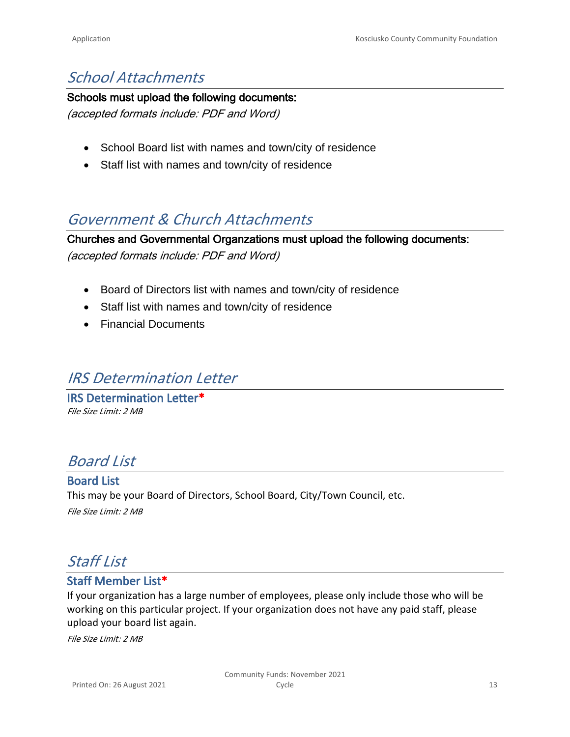# *School Attachments*

#### **Schools must upload the following documents:**

*(accepted formats include: PDF and Word)*

- School Board list with names and town/city of residence
- Staff list with names and town/city of residence

# *Government & Church Attachments*

**Churches and Governmental Organzations must upload the following documents:**

*(accepted formats include: PDF and Word)*

- Board of Directors list with names and town/city of residence
- Staff list with names and town/city of residence
- Financial Documents

# *IRS Determination Letter*

**IRS Determination Letter\*** *File Size Limit: 2 MB*

# *Board List*

**Board List** This may be your Board of Directors, School Board, City/Town Council, etc. *File Size Limit: 2 MB*

# *Staff List*

# **Staff Member List\***

If your organization has a large number of employees, please only include those who will be working on this particular project. If your organization does not have any paid staff, please upload your board list again.

*File Size Limit: 2 MB*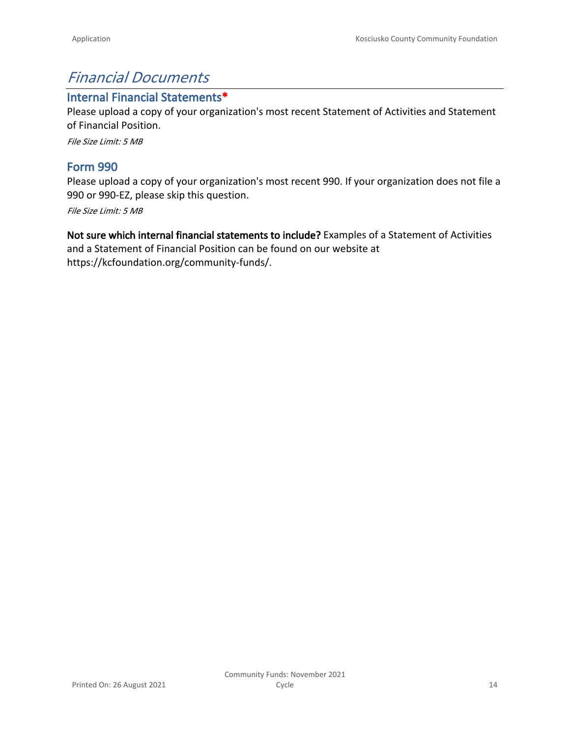# *Financial Documents*

### **Internal Financial Statements\***

Please upload a copy of your organization's most recent Statement of Activities and Statement of Financial Position.

*File Size Limit: 5 MB*

# **Form 990**

Please upload a copy of your organization's most recent 990. If your organization does not file a 990 or 990-EZ, please skip this question.

*File Size Limit: 5 MB*

**Not sure which internal financial statements to include?** Examples of a Statement of Activities and a Statement of Financial Position can be found on our website at <https://kcfoundation.org/community-funds/>.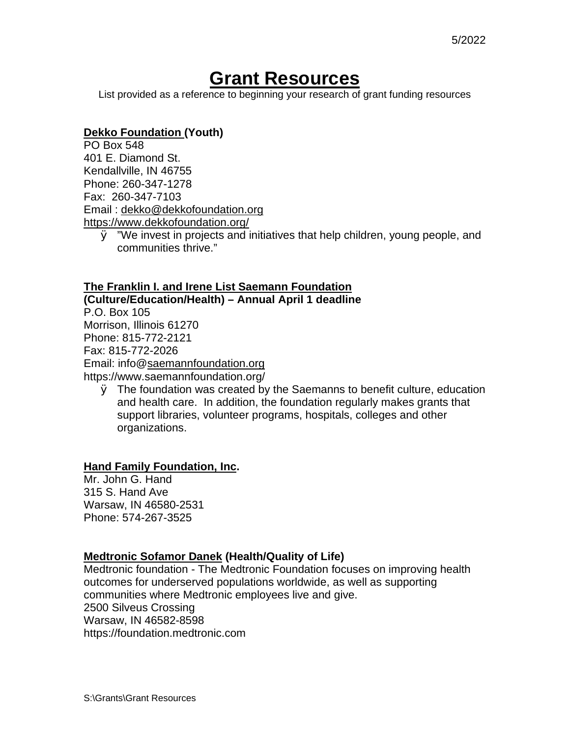# **Grant Resources**

List provided as a reference to beginning your research of grant funding resources

### **Dekko Foundation (Youth)**

PO Box 548 401 E. Diamond St. Kendallville, IN 46755 Phone: 260-347-1278 Fax: 260-347-7103 Email : dekko@dekkofoundation.org https://www.dekkofoundation.org/

Ø "We invest in projects and initiatives that help children, young people, and communities thrive."

#### **The Franklin I. and Irene List Saemann Foundation**

**(Culture/Education/Health) – Annual April 1 deadline** P.O. Box 105 Morrison, Illinois 61270 Phone: 815-772-2121 Fax: 815-772-2026 Email: info@saemannfoundation.org https://www.saemannfoundation.org/

Ø The foundation was created by the Saemanns to benefit culture, education and health care. In addition, the foundation regularly makes grants that support libraries, volunteer programs, hospitals, colleges and other organizations.

#### **Hand Family Foundation, Inc.**

Mr. John G. Hand 315 S. Hand Ave Warsaw, IN 46580-2531 Phone: 574-267-3525

#### **Medtronic Sofamor Danek (Health/Quality of Life)**

Medtronic foundation - The Medtronic Foundation focuses on improving health outcomes for underserved populations worldwide, as well as supporting communities where Medtronic employees live and give. 2500 Silveus Crossing Warsaw, IN 46582-8598 https://foundation.medtronic.com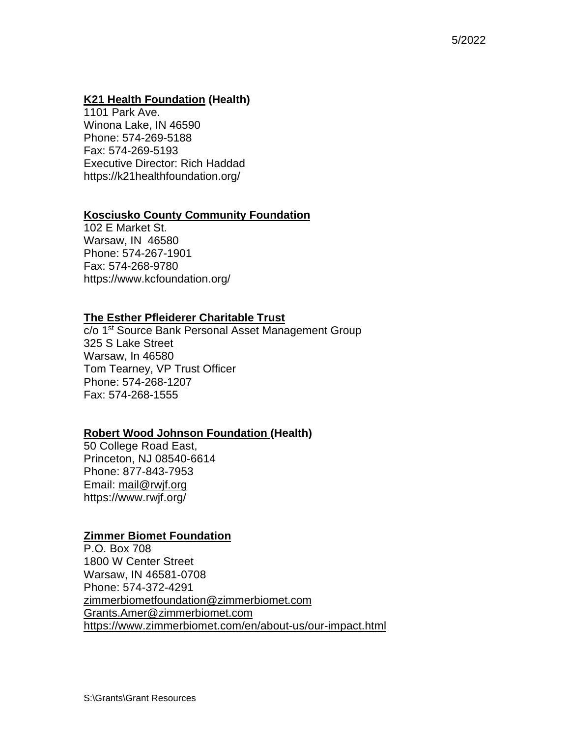### **K21 Health Foundation (Health)**

1101 Park Ave. Winona Lake, IN 46590 Phone: 574-269-5188 Fax: 574-269-5193 Executive Director: Rich Haddad https://k21healthfoundation.org/

### **Kosciusko County Community Foundation**

102 E Market St. Warsaw, IN 46580 Phone: 574-267-1901 Fax: 574-268-9780 https://www.kcfoundation.org/

### **The Esther Pfleiderer Charitable Trust**

c/o 1<sup>st</sup> Source Bank Personal Asset Management Group 325 S Lake Street Warsaw, In 46580 Tom Tearney, VP Trust Officer Phone: 574-268-1207 Fax: 574-268-1555

#### **Robert Wood Johnson Foundation (Health)**

50 College Road East, Princeton, NJ 08540-6614 Phone: 877-843-7953 Email: mail@rwjf.org https://www.rwjf.org/

#### **Zimmer Biomet Foundation**

P.O. Box 708 1800 W Center Street Warsaw, IN 46581-0708 Phone: 574-372-4291 zimmerbiometfoundation@zimmerbiomet.com Grants.Amer@zimmerbiomet.com https://www.zimmerbiomet.com/en/about-us/our-impact.html